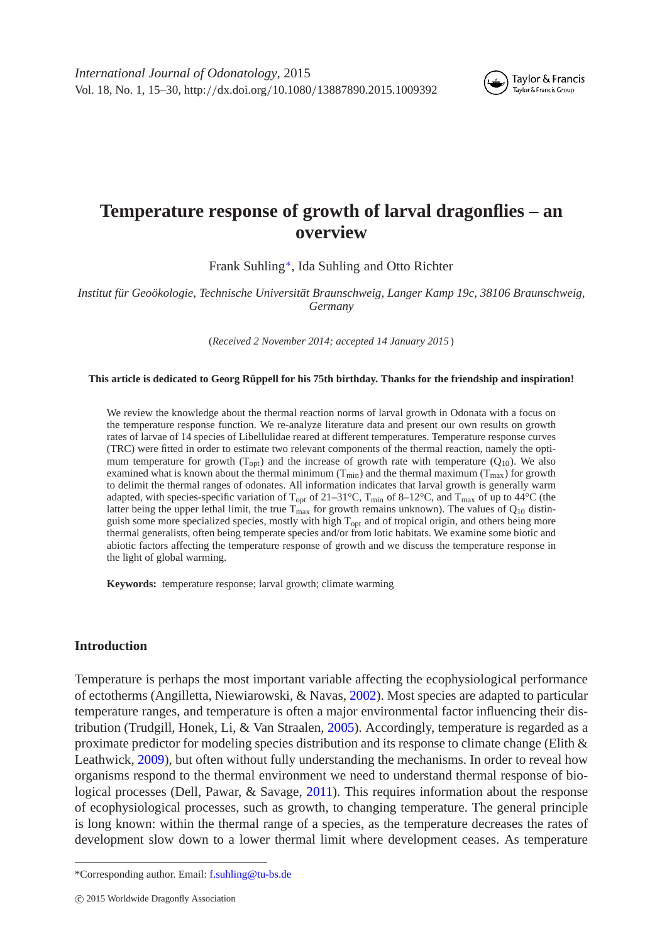

# **Temperature response of growth of larval dragonflies – an overview**

Frank Suhling[∗](#page-0-0), Ida Suhling and Otto Richter

*Institut für Geoökologie, Technische Universität Braunschweig, Langer Kamp 19c, 38106 Braunschweig, Germany*

(*Received 2 November 2014; accepted 14 January 2015* )

#### **This article is dedicated to Georg Rüppell for his 75th birthday. Thanks for the friendship and inspiration!**

We review the knowledge about the thermal reaction norms of larval growth in Odonata with a focus on the temperature response function. We re-analyze literature data and present our own results on growth rates of larvae of 14 species of Libellulidae reared at different temperatures. Temperature response curves (TRC) were fitted in order to estimate two relevant components of the thermal reaction, namely the optimum temperature for growth ( $T_{opt}$ ) and the increase of growth rate with temperature ( $Q_{10}$ ). We also examined what is known about the thermal minimum ( $T_{min}$ ) and the thermal maximum ( $T_{max}$ ) for growth to delimit the thermal ranges of odonates. All information indicates that larval growth is generally warm adapted, with species-specific variation of T<sub>opt</sub> of 21–31°C, T<sub>min</sub> of 8–12°C, and T<sub>max</sub> of up to 44°C (the latter being the upper lethal limit, the true  $T_{\text{max}}$  for growth remains unknown). The values of  $Q_{10}$  distinguish some more specialized species, mostly with high T<sub>opt</sub> and of tropical origin, and others being more thermal generalists, often being temperate species and/or from lotic habitats. We examine some biotic and abiotic factors affecting the temperature response of growth and we discuss the temperature response in the light of global warming.

**Keywords:** temperature response; larval growth; climate warming

## **Introduction**

Temperature is perhaps the most important variable affecting the ecophysiological performance of ectotherms (Angilletta, Niewiarowski, & Navas, [2002\)](#page-12-0). Most species are adapted to particular temperature ranges, and temperature is often a major environmental factor influencing their distribution (Trudgill, Honek, Li, & Van Straalen, [2005\)](#page-15-0). Accordingly, temperature is regarded as a proximate predictor for modeling species distribution and its response to climate change (Elith  $\&$ Leathwick, [2009\)](#page-13-0), but often without fully understanding the mechanisms. In order to reveal how organisms respond to the thermal environment we need to understand thermal response of biological processes (Dell, Pawar, & Savage, [2011\)](#page-12-1). This requires information about the response of ecophysiological processes, such as growth, to changing temperature. The general principle is long known: within the thermal range of a species, as the temperature decreases the rates of development slow down to a lower thermal limit where development ceases. As temperature

<span id="page-0-0"></span><sup>\*</sup>Corresponding author. Email: [f.suhling@tu-bs.de](mailto:f.suhling@tu-bs.de)

c 2015 Worldwide Dragonfly Association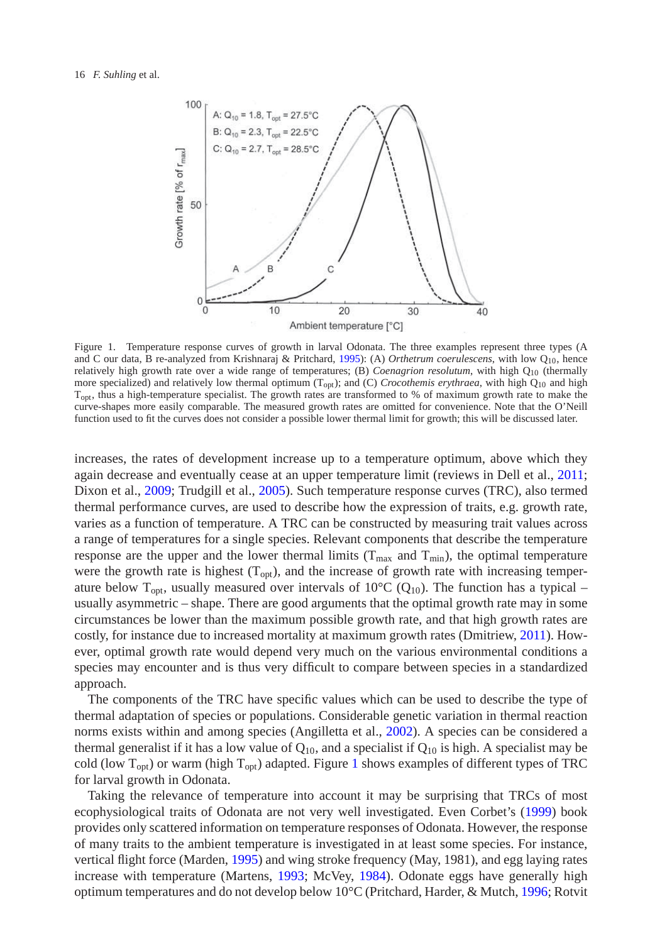

<span id="page-1-0"></span>Figure 1. Temperature response curves of growth in larval Odonata. The three examples represent three types (A and C our data, B re-analyzed from Krishnaraj & Pritchard, [1995\)](#page-13-1): (A) *Orthetrum coerulescens*, with low Q10, hence relatively high growth rate over a wide range of temperatures; (B) *Coenagrion resolutum*, with high Q<sub>10</sub> (thermally more specialized) and relatively low thermal optimum  $(T_{opt})$ ; and (C) *Crocothemis erythraea*, with high  $Q_{10}$  and high T<sub>opt</sub>, thus a high-temperature specialist. The growth rates are transformed to % of maximum growth rate to make the curve-shapes more easily comparable. The measured growth rates are omitted for convenience. Note that the O'Neill function used to fit the curves does not consider a possible lower thermal limit for growth; this will be discussed later.

increases, the rates of development increase up to a temperature optimum, above which they again decrease and eventually cease at an upper temperature limit (reviews in Dell et al., [2011;](#page-12-1) Dixon et al., [2009;](#page-12-2) Trudgill et al., [2005\)](#page-15-0). Such temperature response curves (TRC), also termed thermal performance curves, are used to describe how the expression of traits, e.g. growth rate, varies as a function of temperature. A TRC can be constructed by measuring trait values across a range of temperatures for a single species. Relevant components that describe the temperature response are the upper and the lower thermal limits ( $T_{\text{max}}$  and  $T_{\text{min}}$ ), the optimal temperature were the growth rate is highest  $(T_{\text{opt}})$ , and the increase of growth rate with increasing temperature below T<sub>opt</sub>, usually measured over intervals of 10<sup>o</sup>C (Q<sub>10</sub>). The function has a typical – usually asymmetric – shape. There are good arguments that the optimal growth rate may in some circumstances be lower than the maximum possible growth rate, and that high growth rates are costly, for instance due to increased mortality at maximum growth rates (Dmitriew, [2011\)](#page-13-2). However, optimal growth rate would depend very much on the various environmental conditions a species may encounter and is thus very difficult to compare between species in a standardized approach.

The components of the TRC have specific values which can be used to describe the type of thermal adaptation of species or populations. Considerable genetic variation in thermal reaction norms exists within and among species (Angilletta et al., [2002\)](#page-12-0). A species can be considered a thermal generalist if it has a low value of  $Q_{10}$ , and a specialist if  $Q_{10}$  is high. A specialist may be cold (low  $T_{\text{opt}}$ ) or warm (high  $T_{\text{opt}}$ ) adapted. Figure [1](#page-1-0) shows examples of different types of TRC for larval growth in Odonata.

Taking the relevance of temperature into account it may be surprising that TRCs of most ecophysiological traits of Odonata are not very well investigated. Even Corbet's [\(1999\)](#page-12-3) book provides only scattered information on temperature responses of Odonata. However, the response of many traits to the ambient temperature is investigated in at least some species. For instance, vertical flight force (Marden, [1995\)](#page-13-3) and wing stroke frequency (May, 1981), and egg laying rates increase with temperature (Martens, [1993;](#page-13-4) McVey, [1984\)](#page-14-0). Odonate eggs have generally high optimum temperatures and do not develop below 10°C (Pritchard, Harder, & Mutch, [1996;](#page-14-1) Rotvit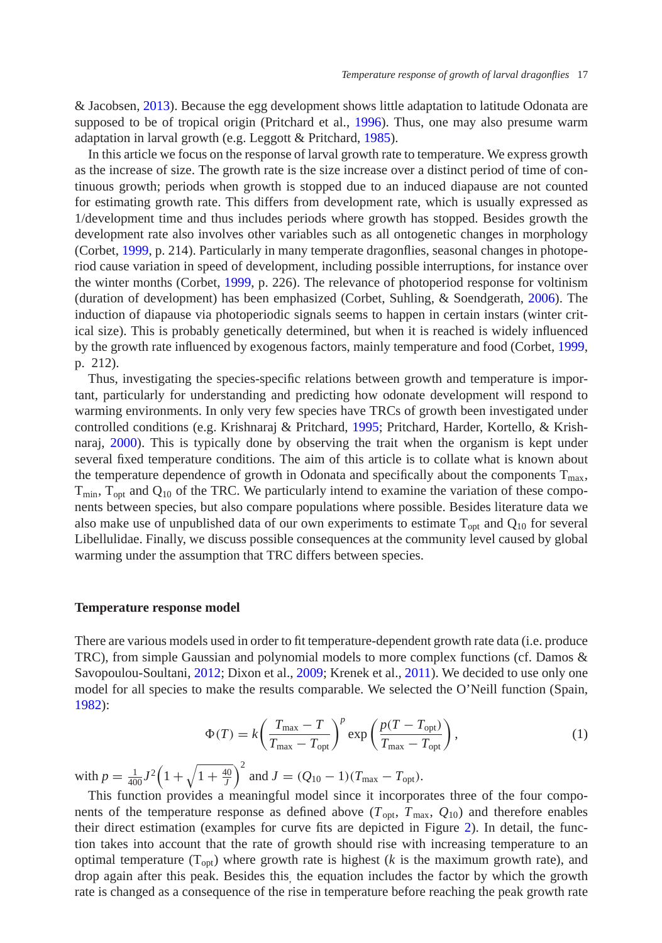& Jacobsen, [2013\)](#page-14-2). Because the egg development shows little adaptation to latitude Odonata are supposed to be of tropical origin (Pritchard et al., [1996\)](#page-14-1). Thus, one may also presume warm adaptation in larval growth (e.g. Leggott & Pritchard, [1985\)](#page-13-5).

In this article we focus on the response of larval growth rate to temperature. We express growth as the increase of size. The growth rate is the size increase over a distinct period of time of continuous growth; periods when growth is stopped due to an induced diapause are not counted for estimating growth rate. This differs from development rate, which is usually expressed as 1/development time and thus includes periods where growth has stopped. Besides growth the development rate also involves other variables such as all ontogenetic changes in morphology (Corbet, [1999,](#page-12-3) p. 214). Particularly in many temperate dragonflies, seasonal changes in photoperiod cause variation in speed of development, including possible interruptions, for instance over the winter months (Corbet, [1999,](#page-12-3) p. 226). The relevance of photoperiod response for voltinism (duration of development) has been emphasized (Corbet, Suhling, & Soendgerath, [2006\)](#page-12-4). The induction of diapause via photoperiodic signals seems to happen in certain instars (winter critical size). This is probably genetically determined, but when it is reached is widely influenced by the growth rate influenced by exogenous factors, mainly temperature and food (Corbet, [1999,](#page-12-3) p. 212).

Thus, investigating the species-specific relations between growth and temperature is important, particularly for understanding and predicting how odonate development will respond to warming environments. In only very few species have TRCs of growth been investigated under controlled conditions (e.g. Krishnaraj & Pritchard, [1995;](#page-13-1) Pritchard, Harder, Kortello, & Krishnaraj, [2000\)](#page-14-3). This is typically done by observing the trait when the organism is kept under several fixed temperature conditions. The aim of this article is to collate what is known about the temperature dependence of growth in Odonata and specifically about the components  $T_{\text{max}}$ ,  $T_{\text{min}}$ ,  $T_{\text{opt}}$  and  $Q_{10}$  of the TRC. We particularly intend to examine the variation of these components between species, but also compare populations where possible. Besides literature data we also make use of unpublished data of our own experiments to estimate  $T_{\text{out}}$  and  $Q_{10}$  for several Libellulidae. Finally, we discuss possible consequences at the community level caused by global warming under the assumption that TRC differs between species.

## **Temperature response model**

There are various models used in order to fit temperature-dependent growth rate data (i.e. produce TRC), from simple Gaussian and polynomial models to more complex functions (cf. Damos  $\&$ Savopoulou-Soultani, [2012;](#page-12-5) Dixon et al., [2009;](#page-12-2) Krenek et al., [2011\)](#page-13-6). We decided to use only one model for all species to make the results comparable. We selected the O'Neill function (Spain, [1982\)](#page-14-4):

$$
\Phi(T) = k \left( \frac{T_{\text{max}} - T}{T_{\text{max}} - T_{\text{opt}}} \right)^p \exp\left( \frac{p(T - T_{\text{opt}})}{T_{\text{max}} - T_{\text{opt}}} \right),\tag{1}
$$

with  $p = \frac{1}{400}J^2\left(1 + \sqrt{1 + \frac{40}{J}}\right)^2$  and  $J = (Q_{10} - 1)(T_{\text{max}} - T_{\text{opt}})$ .

-

This function provides a meaningful model since it incorporates three of the four components of the temperature response as defined above  $(T_{opt}, T_{max}, Q_{10})$  and therefore enables their direct estimation (examples for curve fits are depicted in Figure [2\)](#page-3-0). In detail, the function takes into account that the rate of growth should rise with increasing temperature to an optimal temperature  $(T_{opt})$  where growth rate is highest ( $k$  is the maximum growth rate), and drop again after this peak. Besides this, the equation includes the factor by which the growth rate is changed as a consequence of the rise in temperature before reaching the peak growth rate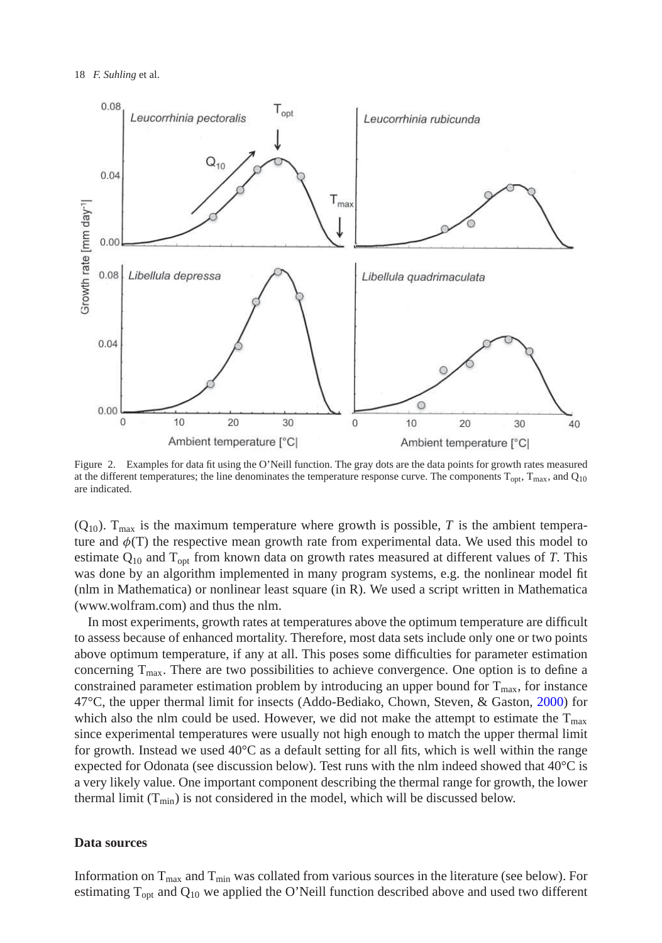

<span id="page-3-0"></span>Figure 2. Examples for data fit using the O'Neill function. The gray dots are the data points for growth rates measured at the different temperatures; the line denominates the temperature response curve. The components  $T_{\text{opt}}$ ,  $T_{\text{max}}$ , and  $Q_{10}$ are indicated.

 $(Q_{10})$ . T<sub>max</sub> is the maximum temperature where growth is possible, *T* is the ambient temperature and  $\phi(T)$  the respective mean growth rate from experimental data. We used this model to estimate  $Q_{10}$  and  $T_{\text{opt}}$  from known data on growth rates measured at different values of *T*. This was done by an algorithm implemented in many program systems, e.g. the nonlinear model fit (nlm in Mathematica) or nonlinear least square (in R). We used a script written in Mathematica (www.wolfram.com) and thus the nlm.

In most experiments, growth rates at temperatures above the optimum temperature are difficult to assess because of enhanced mortality. Therefore, most data sets include only one or two points above optimum temperature, if any at all. This poses some difficulties for parameter estimation concerning  $T_{\text{max}}$ . There are two possibilities to achieve convergence. One option is to define a constrained parameter estimation problem by introducing an upper bound for  $T_{\text{max}}$ , for instance 47°C, the upper thermal limit for insects (Addo-Bediako, Chown, Steven, & Gaston, [2000\)](#page-12-6) for which also the nlm could be used. However, we did not make the attempt to estimate the  $T_{\text{max}}$ since experimental temperatures were usually not high enough to match the upper thermal limit for growth. Instead we used 40°C as a default setting for all fits, which is well within the range expected for Odonata (see discussion below). Test runs with the nlm indeed showed that  $40^{\circ}$ C is a very likely value. One important component describing the thermal range for growth, the lower thermal limit  $(T_{min})$  is not considered in the model, which will be discussed below.

## **Data sources**

Information on  $T_{\text{max}}$  and  $T_{\text{min}}$  was collated from various sources in the literature (see below). For estimating  $T_{opt}$  and  $Q_{10}$  we applied the O'Neill function described above and used two different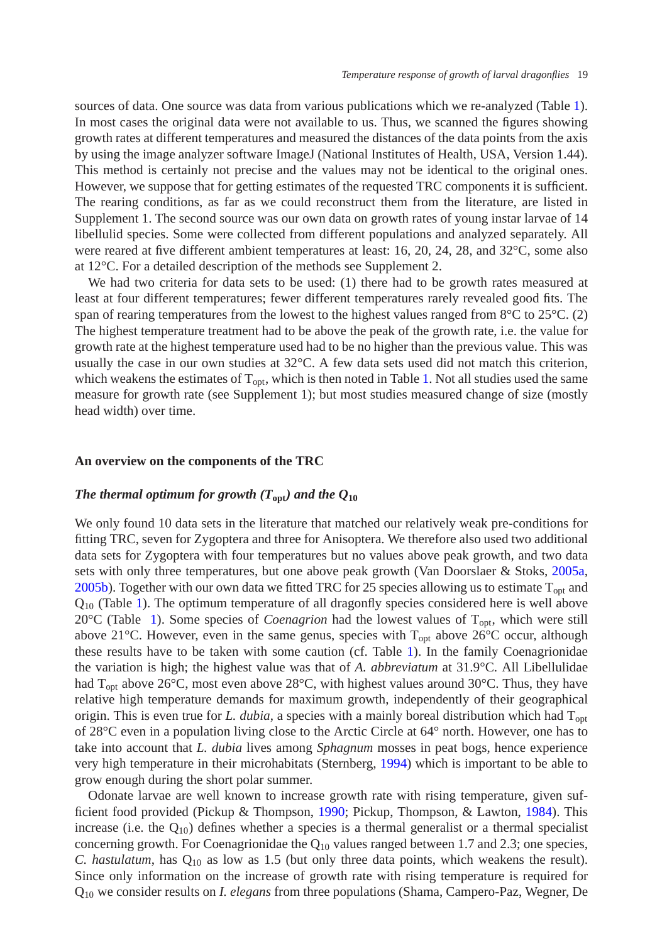sources of data. One source was data from various publications which we re-analyzed (Table [1\)](#page-5-0). In most cases the original data were not available to us. Thus, we scanned the figures showing growth rates at different temperatures and measured the distances of the data points from the axis by using the image analyzer software ImageJ (National Institutes of Health, USA, Version 1.44). This method is certainly not precise and the values may not be identical to the original ones. However, we suppose that for getting estimates of the requested TRC components it is sufficient. The rearing conditions, as far as we could reconstruct them from the literature, are listed in Supplement 1. The second source was our own data on growth rates of young instar larvae of 14 libellulid species. Some were collected from different populations and analyzed separately. All were reared at five different ambient temperatures at least: 16, 20, 24, 28, and 32°C, some also at 12°C. For a detailed description of the methods see Supplement 2.

We had two criteria for data sets to be used: (1) there had to be growth rates measured at least at four different temperatures; fewer different temperatures rarely revealed good fits. The span of rearing temperatures from the lowest to the highest values ranged from  $8^{\circ}$ C to  $25^{\circ}$ C. (2) The highest temperature treatment had to be above the peak of the growth rate, i.e. the value for growth rate at the highest temperature used had to be no higher than the previous value. This was usually the case in our own studies at  $32^{\circ}$ C. A few data sets used did not match this criterion, which weakens the estimates of  $T_{\text{out}}$ , which is then noted in Table [1.](#page-5-0) Not all studies used the same measure for growth rate (see Supplement 1); but most studies measured change of size (mostly head width) over time.

## **An overview on the components of the TRC**

# *The thermal optimum for growth (* $T_{\text{opt}}$ *) and the*  $Q_{10}$

We only found 10 data sets in the literature that matched our relatively weak pre-conditions for fitting TRC, seven for Zygoptera and three for Anisoptera. We therefore also used two additional data sets for Zygoptera with four temperatures but no values above peak growth, and two data sets with only three temperatures, but one above peak growth (Van Doorslaer & Stoks, [2005a,](#page-15-1) [2005b\)](#page-15-2). Together with our own data we fitted TRC for 25 species allowing us to estimate  $T_{\text{opt}}$  and  $Q_{10}$  (Table [1\)](#page-5-0). The optimum temperature of all dragonfly species considered here is well above 20 $\rm{°C}$  (Table [1\)](#page-5-0). Some species of *Coenagrion* had the lowest values of  $T_{\rm{opt}}$ , which were still above 21°C. However, even in the same genus, species with  $T_{opt}$  above 26°C occur, although these results have to be taken with some caution (cf. Table [1\)](#page-5-0). In the family Coenagrionidae the variation is high; the highest value was that of *A. abbreviatum* at 31.9°C. All Libellulidae had  $T_{opt}$  above 26 $\degree$ C, most even above 28 $\degree$ C, with highest values around 30 $\degree$ C. Thus, they have relative high temperature demands for maximum growth, independently of their geographical origin. This is even true for *L. dubia*, a species with a mainly boreal distribution which had T<sub>opt</sub> of 28°C even in a population living close to the Arctic Circle at 64° north. However, one has to take into account that *L. dubia* lives among *Sphagnum* mosses in peat bogs, hence experience very high temperature in their microhabitats (Sternberg, [1994\)](#page-14-5) which is important to be able to grow enough during the short polar summer.

Odonate larvae are well known to increase growth rate with rising temperature, given sufficient food provided (Pickup & Thompson, [1990;](#page-14-6) Pickup, Thompson, & Lawton, [1984\)](#page-14-7). This increase (i.e. the  $Q_{10}$ ) defines whether a species is a thermal generalist or a thermal specialist concerning growth. For Coenagrionidae the  $Q_{10}$  values ranged between 1.7 and 2.3; one species, *C. hastulatum*, has  $Q_{10}$  as low as 1.5 (but only three data points, which weakens the result). Since only information on the increase of growth rate with rising temperature is required for Q10 we consider results on *I. elegans* from three populations (Shama, Campero-Paz, Wegner, De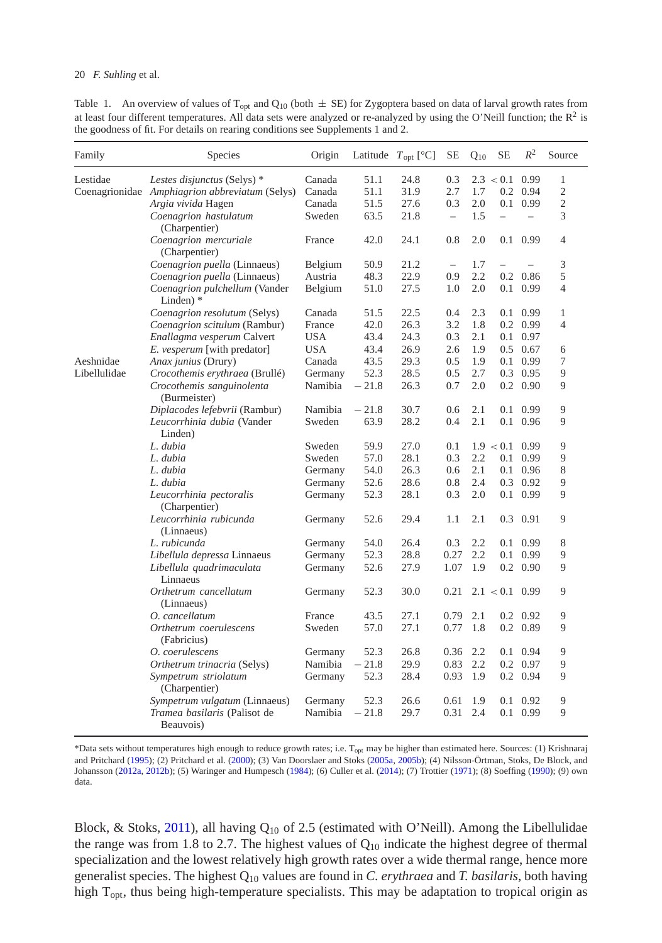<span id="page-5-0"></span>Table 1. An overview of values of T<sub>opt</sub> and  $Q_{10}$  (both  $\pm$  SE) for Zygoptera based on data of larval growth rates from at least four different temperatures. All data sets were analyzed or re-analyzed by using the O'Neill function; the  $R^2$  is the goodness of fit. For details on rearing conditions see Supplements 1 and 2.

| Family       | Species                                        | Origin     |         | Latitude $T_{opt}$ [°C] | SE                       | $Q_{10}$ | SE             | $R^2$                    | Source         |
|--------------|------------------------------------------------|------------|---------|-------------------------|--------------------------|----------|----------------|--------------------------|----------------|
| Lestidae     | Lestes disjunctus (Selys) *                    | Canada     | 51.1    | 24.8                    | 0.3                      |          | 2.3 < 0.1      | 0.99                     | 1              |
|              | Coenagrionidae Amphiagrion abbreviatum (Selys) | Canada     | 51.1    | 31.9                    | 2.7                      | 1.7      | 0.2            | 0.94                     | $\overline{2}$ |
|              | Argia vivida Hagen                             | Canada     | 51.5    | 27.6                    | 0.3                      | 2.0      | 0.1            | 0.99                     | $\overline{2}$ |
|              | Coenagrion hastulatum                          | Sweden     | 63.5    | 21.8                    | $\overline{\phantom{0}}$ | 1.5      | $\overline{a}$ | $\overline{\phantom{0}}$ | 3              |
|              | (Charpentier)                                  |            |         |                         |                          |          |                |                          |                |
|              | Coenagrion mercuriale<br>(Charpentier)         | France     | 42.0    | 24.1                    | 0.8                      | 2.0      |                | $0.1 \quad 0.99$         | 4              |
|              | Coenagrion puella (Linnaeus)                   | Belgium    | 50.9    | 21.2                    | $\overline{\phantom{0}}$ | 1.7      |                |                          | 3              |
|              | Coenagrion puella (Linnaeus)                   | Austria    | 48.3    | 22.9                    | 0.9                      | 2.2      | 0.2            | 0.86                     | 5              |
|              | Coenagrion pulchellum (Vander<br>Linden) *     | Belgium    | 51.0    | 27.5                    | 1.0                      | 2.0      | 0.1            | 0.99                     | $\overline{4}$ |
|              | Coenagrion resolutum (Selys)                   | Canada     | 51.5    | 22.5                    | 0.4                      | 2.3      | 0.1            | 0.99                     | 1              |
|              | Coenagrion scitulum (Rambur)                   | France     | 42.0    | 26.3                    | 3.2                      | 1.8      | 0.2            | 0.99                     | $\overline{4}$ |
|              | Enallagma vesperum Calvert                     | <b>USA</b> | 43.4    | 24.3                    | 0.3                      | 2.1      | 0.1            | 0.97                     |                |
|              | E. vesperum [with predator]                    | <b>USA</b> | 43.4    | 26.9                    | 2.6                      | 1.9      |                | $0.5 \quad 0.67$         | 6              |
| Aeshnidae    | Anax junius (Drury)                            | Canada     | 43.5    | 29.3                    | 0.5                      | 1.9      | 0.1            | 0.99                     | $\tau$         |
| Libellulidae | Crocothemis erythraea (Brullé)                 | Germany    | 52.3    | 28.5                    | 0.5                      | 2.7      |                | $0.3 \quad 0.95$         | 9              |
|              | Crocothemis sanguinolenta<br>(Burmeister)      | Namibia    | $-21.8$ | 26.3                    | 0.7                      | 2.0      |                | $0.2\quad0.90$           | 9              |
|              | Diplacodes lefebvrii (Rambur)                  | Namibia    | $-21.8$ | 30.7                    | 0.6                      | 2.1      | 0.1            | 0.99                     | 9              |
|              | Leucorrhinia dubia (Vander<br>Linden)          | Sweden     | 63.9    | 28.2                    | 0.4                      | 2.1      |                | 0.1 0.96                 | $\mathbf Q$    |
|              | L. dubia                                       | Sweden     | 59.9    | 27.0                    | 0.1                      |          | 1.9 < 0.1      | 0.99                     | 9              |
|              | L. dubia                                       | Sweden     | 57.0    | 28.1                    | 0.3                      | 2.2      | 0.1            | 0.99                     | 9              |
|              | L. dubia                                       | Germany    | 54.0    | 26.3                    | 0.6                      | 2.1      | 0.1            | 0.96                     | 8              |
|              | L. dubia                                       | Germany    | 52.6    | 28.6                    | 0.8                      | 2.4      | 0.3            | 0.92                     | 9              |
|              | Leucorrhinia pectoralis<br>(Charpentier)       | Germany    | 52.3    | 28.1                    | 0.3                      | 2.0      | 0.1            | 0.99                     | 9              |
|              | Leucorrhinia rubicunda<br>(Linnaeus)           | Germany    | 52.6    | 29.4                    | 1.1                      | 2.1      | 0.3            | 0.91                     | 9              |
|              | L. rubicunda                                   | Germany    | 54.0    | 26.4                    | 0.3                      | 2.2      | 0.1            | 0.99                     | 8              |
|              | Libellula depressa Linnaeus                    | Germany    | 52.3    | 28.8                    | 0.27                     | 2.2      | 0.1            | 0.99                     | 9              |
|              | Libellula quadrimaculata<br>Linnaeus           | Germany    | 52.6    | 27.9                    | 1.07                     | 1.9      | 0.2            | 0.90                     | 9              |
|              | Orthetrum cancellatum<br>(Linnaeus)            | Germany    | 52.3    | 30.0                    | 0.21                     |          | 2.1 < 0.1      | 0.99                     | 9              |
|              | O. cancellatum                                 | France     | 43.5    | 27.1                    | 0.79                     | 2.1      | $0.2\,$        | 0.92                     | 9              |
|              | Orthetrum coerulescens<br>(Fabricius)          | Sweden     | 57.0    | 27.1                    | 0.77                     | 1.8      |                | $0.2 \quad 0.89$         | 9              |
|              | O. coerulescens                                | Germany    | 52.3    | 26.8                    | 0.36                     | 2.2      | 0.1            | 0.94                     | 9              |
|              | Orthetrum trinacria (Selys)                    | Namibia    | $-21.8$ | 29.9                    | 0.83                     | 2.2      | $0.2\,$        | 0.97                     | 9              |
|              | Sympetrum striolatum<br>(Charpentier)          | Germany    | 52.3    | 28.4                    | 0.93                     | 1.9      |                | $0.2 \quad 0.94$         | 9              |
|              | Sympetrum vulgatum (Linnaeus)                  | Germany    | 52.3    | 26.6                    | 0.61                     | 1.9      | 0.1            | 0.92                     | 9              |
|              | Tramea basilaris (Palisot de<br>Beauvois)      | Namibia    | $-21.8$ | 29.7                    | 0.31                     | 2.4      | 0.1            | 0.99                     | $\overline{Q}$ |

\*Data sets without temperatures high enough to reduce growth rates; i.e. Topt may be higher than estimated here. Sources: (1) Krishnaraj and Pritchard [\(1995\)](#page-13-1); (2) Pritchard et al. [\(2000\)](#page-14-3); (3) Van Doorslaer and Stoks [\(2005a,](#page-15-1) [2005b\)](#page-15-2); (4) Nilsson-Örtman, Stoks, De Block, and Johansson [\(2012a,](#page-14-8) [2012b\)](#page-14-9); (5) Waringer and Humpesch [\(1984\)](#page-15-3); (6) Culler et al. [\(2014\)](#page-12-7); (7) Trottier [\(1971\)](#page-15-4); (8) Soeffing [\(1990\)](#page-14-10); (9) own data.

Block, & Stoks, [2011\)](#page-14-11), all having  $Q_{10}$  of 2.5 (estimated with O'Neill). Among the Libellulidae the range was from 1.8 to 2.7. The highest values of  $Q_{10}$  indicate the highest degree of thermal specialization and the lowest relatively high growth rates over a wide thermal range, hence more generalist species. The highest Q10 values are found in *C. erythraea* and *T. basilaris*, both having high  $T_{\text{opt}}$ , thus being high-temperature specialists. This may be adaptation to tropical origin as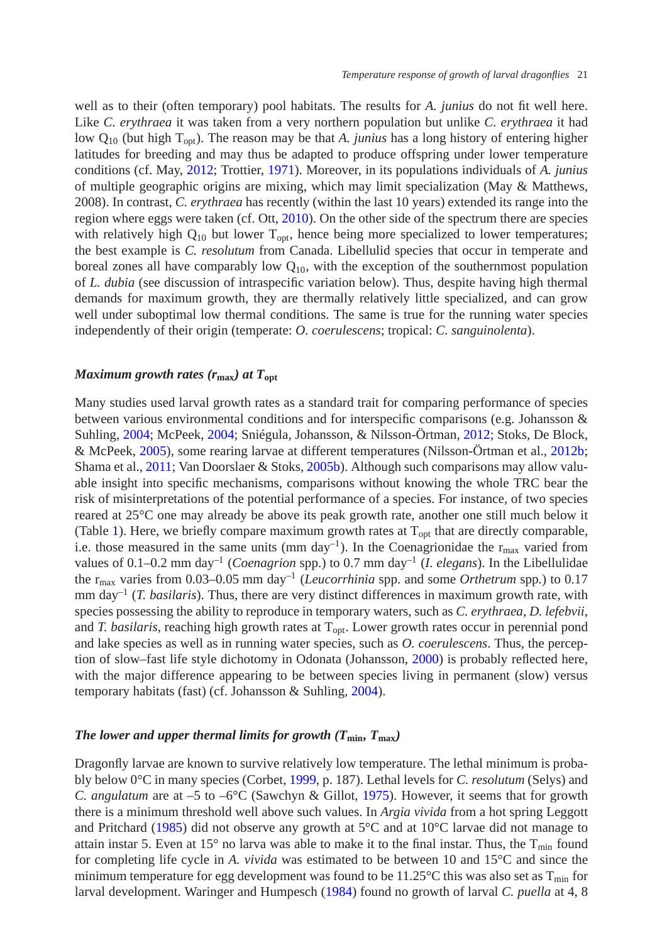well as to their (often temporary) pool habitats. The results for *A. junius* do not fit well here. Like *C. erythraea* it was taken from a very northern population but unlike *C. erythraea* it had low Q10 (but high Topt). The reason may be that *A. junius* has a long history of entering higher latitudes for breeding and may thus be adapted to produce offspring under lower temperature conditions (cf. May, [2012;](#page-13-7) Trottier, [1971\)](#page-15-4). Moreover, in its populations individuals of *A. junius* of multiple geographic origins are mixing, which may limit specialization (May & Matthews, 2008). In contrast, *C. erythraea* has recently (within the last 10 years) extended its range into the region where eggs were taken (cf. Ott, [2010\)](#page-14-12). On the other side of the spectrum there are species with relatively high  $Q_{10}$  but lower  $T_{\text{out}}$ , hence being more specialized to lower temperatures; the best example is *C. resolutum* from Canada. Libellulid species that occur in temperate and boreal zones all have comparably low  $Q_{10}$ , with the exception of the southernmost population of *L. dubia* (see discussion of intraspecific variation below). Thus, despite having high thermal demands for maximum growth, they are thermally relatively little specialized, and can grow well under suboptimal low thermal conditions. The same is true for the running water species independently of their origin (temperate: *O. coerulescens*; tropical: *C. sanguinolenta*).

## *Maximum growth rates (r***max***) at T***opt**

Many studies used larval growth rates as a standard trait for comparing performance of species between various environmental conditions and for interspecific comparisons (e.g. Johansson & Suhling, [2004;](#page-13-8) McPeek, [2004;](#page-14-13) Sniégula, Johansson, & Nilsson-Örtman, [2012;](#page-14-4) Stoks, De Block, & McPeek, [2005\)](#page-14-14), some rearing larvae at different temperatures (Nilsson-Örtman et al., [2012b;](#page-14-9) Shama et al., [2011;](#page-14-11) Van Doorslaer & Stoks, [2005b\)](#page-15-2). Although such comparisons may allow valuable insight into specific mechanisms, comparisons without knowing the whole TRC bear the risk of misinterpretations of the potential performance of a species. For instance, of two species reared at 25°C one may already be above its peak growth rate, another one still much below it (Table [1\)](#page-5-0). Here, we briefly compare maximum growth rates at  $T_{opt}$  that are directly comparable, i.e. those measured in the same units (mm day<sup>-1</sup>). In the Coenagrionidae the r<sub>max</sub> varied from values of 0.1–0.2 mm day–1 (*Coenagrion* spp.) to 0.7 mm day–1 (*I. elegans*). In the Libellulidae the rmax varies from 0.03–0.05 mm day–1 (*Leucorrhinia* spp. and some *Orthetrum* spp*.*) to 0.17 mm day–1 (*T. basilaris*). Thus, there are very distinct differences in maximum growth rate, with species possessing the ability to reproduce in temporary waters, such as *C. erythraea*, *D. lefebvii*, and *T. basilaris*, reaching high growth rates at T<sub>opt</sub>. Lower growth rates occur in perennial pond and lake species as well as in running water species, such as *O. coerulescens*. Thus, the perception of slow–fast life style dichotomy in Odonata (Johansson, [2000\)](#page-13-9) is probably reflected here, with the major difference appearing to be between species living in permanent (slow) versus temporary habitats (fast) (cf. Johansson & Suhling, [2004\)](#page-13-8).

# *The lower and upper thermal limits for growth (* $T_{\text{min}}$ *,*  $T_{\text{max}}$ *)*

Dragonfly larvae are known to survive relatively low temperature. The lethal minimum is probably below 0°C in many species (Corbet, [1999,](#page-12-3) p. 187). Lethal levels for *C. resolutum* (Selys) and *C. angulatum* are at –5 to –6°C (Sawchyn & Gillot, [1975\)](#page-14-15). However, it seems that for growth there is a minimum threshold well above such values. In *Argia vivida* from a hot spring Leggott and Pritchard [\(1985\)](#page-13-5) did not observe any growth at  $5^{\circ}$ C and at 10 $^{\circ}$ C larvae did not manage to attain instar 5. Even at 15 $^{\circ}$  no larva was able to make it to the final instar. Thus, the  $T_{\text{min}}$  found for completing life cycle in *A. vivida* was estimated to be between 10 and 15°C and since the minimum temperature for egg development was found to be  $11.25^{\circ}$ C this was also set as  $T_{min}$  for larval development. Waringer and Humpesch [\(1984\)](#page-15-3) found no growth of larval *C. puella* at 4, 8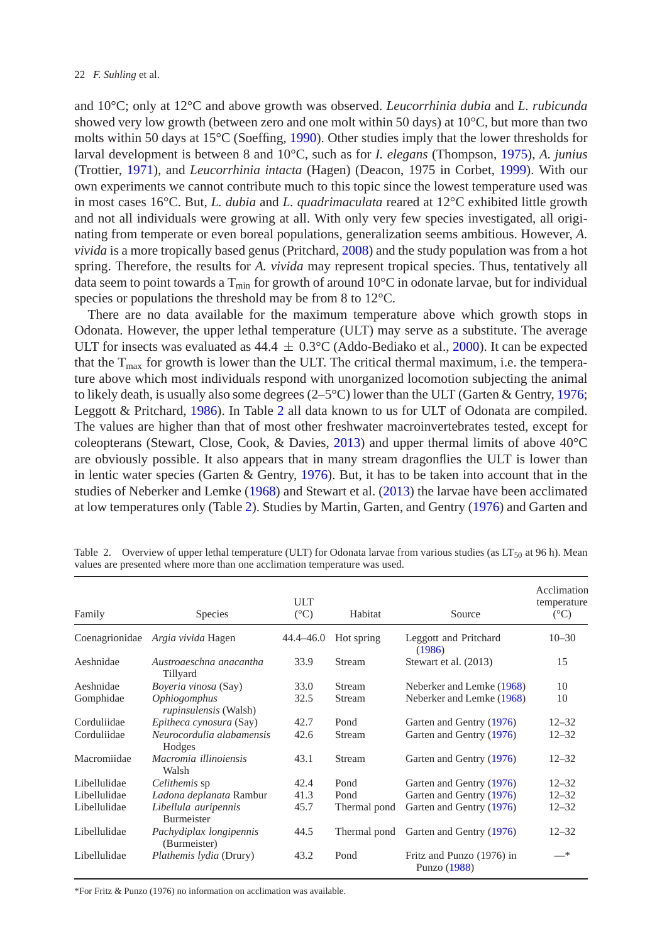and 10°C; only at 12°C and above growth was observed. *Leucorrhinia dubia* and *L. rubicunda* showed very low growth (between zero and one molt within 50 days) at 10°C, but more than two molts within 50 days at 15°C (Soeffing, [1990\)](#page-14-10). Other studies imply that the lower thresholds for larval development is between 8 and 10°C, such as for *I. elegans* (Thompson, [1975\)](#page-15-5), *A. junius* (Trottier, [1971\)](#page-15-4), and *Leucorrhinia intacta* (Hagen) (Deacon, 1975 in Corbet, [1999\)](#page-12-3). With our own experiments we cannot contribute much to this topic since the lowest temperature used was in most cases 16°C. But, *L. dubia* and *L. quadrimaculata* reared at 12°C exhibited little growth and not all individuals were growing at all. With only very few species investigated, all originating from temperate or even boreal populations, generalization seems ambitious. However, *A. vivida* is a more tropically based genus (Pritchard, [2008\)](#page-14-16) and the study population was from a hot spring. Therefore, the results for *A. vivida* may represent tropical species. Thus, tentatively all data seem to point towards a  $T_{\text{min}}$  for growth of around 10 $^{\circ}$ C in odonate larvae, but for individual species or populations the threshold may be from 8 to 12°C.

There are no data available for the maximum temperature above which growth stops in Odonata. However, the upper lethal temperature (ULT) may serve as a substitute. The average ULT for insects was evaluated as  $44.4 \pm 0.3^{\circ}$ C (Addo-Bediako et al., [2000\)](#page-12-6). It can be expected that the  $T_{\text{max}}$  for growth is lower than the ULT. The critical thermal maximum, i.e. the temperature above which most individuals respond with unorganized locomotion subjecting the animal to likely death, is usually also some degrees  $(2-5^{\circ}\text{C})$  lower than the ULT (Garten & Gentry, [1976;](#page-13-10) Leggott & Pritchard, [1986\)](#page-13-11). In Table [2](#page-7-0) all data known to us for ULT of Odonata are compiled. The values are higher than that of most other freshwater macroinvertebrates tested, except for coleopterans (Stewart, Close, Cook, & Davies, [2013\)](#page-14-17) and upper thermal limits of above 40°C are obviously possible. It also appears that in many stream dragonflies the ULT is lower than in lentic water species (Garten & Gentry, [1976\)](#page-13-10). But, it has to be taken into account that in the studies of Neberker and Lemke [\(1968\)](#page-14-18) and Stewart et al. [\(2013\)](#page-14-17) the larvae have been acclimated at low temperatures only (Table [2\)](#page-7-0). Studies by Martin, Garten, and Gentry [\(1976\)](#page-13-12) and Garten and

| Family         | <b>Species</b>                                             | <b>ULT</b><br>$(^{\circ}C)$ | Habitat      | Source                                    | Acclimation<br>temperature<br>$(^{\circ}C)$ |
|----------------|------------------------------------------------------------|-----------------------------|--------------|-------------------------------------------|---------------------------------------------|
| Coenagrionidae | Argia vivida Hagen                                         | 44.4–46.0                   | Hot spring   | Leggott and Pritchard<br>(1986)           | $10 - 30$                                   |
| Aeshnidae      | Austroaeschna anacantha<br>Tillyard                        | 33.9                        | Stream       | Stewart et al. (2013)                     | 15                                          |
| Aeshnidae      | <i>Boyeria vinosa</i> (Say)                                | 33.0                        | Stream       | Neberker and Lemke (1968)                 | 10                                          |
| Gomphidae      | <i><b>Ophiogomphus</b></i><br><i>rupinsulensis</i> (Walsh) | 32.5                        | Stream       | Neberker and Lemke (1968)                 | 10                                          |
| Corduliidae    | Epitheca cynosura (Say)                                    | 42.7                        | Pond         | Garten and Gentry (1976)                  | $12 - 32$                                   |
| Corduliidae    | Neurocordulia alabamensis<br>Hodges                        | 42.6                        | Stream       | Garten and Gentry (1976)                  | $12 - 32$                                   |
| Macromiidae    | Macromia illinoiensis<br>Walsh                             | 43.1                        | Stream       | Garten and Gentry (1976)                  | $12 - 32$                                   |
| Libellulidae   | Celithemis sp                                              | 42.4                        | Pond         | Garten and Gentry (1976)                  | $12 - 32$                                   |
| Libellulidae   | Ladona deplanata Rambur                                    | 41.3                        | Pond         | Garten and Gentry (1976)                  | $12 - 32$                                   |
| Libellulidae   | Libellula auripennis<br>Burmeister                         | 45.7                        | Thermal pond | Garten and Gentry (1976)                  | $12 - 32$                                   |
| Libellulidae   | Pachydiplax longipennis<br>(Burmeister)                    | 44.5                        | Thermal pond | Garten and Gentry (1976)                  | $12 - 32$                                   |
| Libellulidae   | Plathemis lydia (Drury)                                    | 43.2                        | Pond         | Fritz and Punzo (1976) in<br>Punzo (1988) | 一米                                          |

<span id="page-7-0"></span>Table 2. Overview of upper lethal temperature (ULT) for Odonata larvae from various studies (as  $LT_{50}$  at 96 h). Mean values are presented where more than one acclimation temperature was used.

\*For Fritz & Punzo (1976) no information on acclimation was available.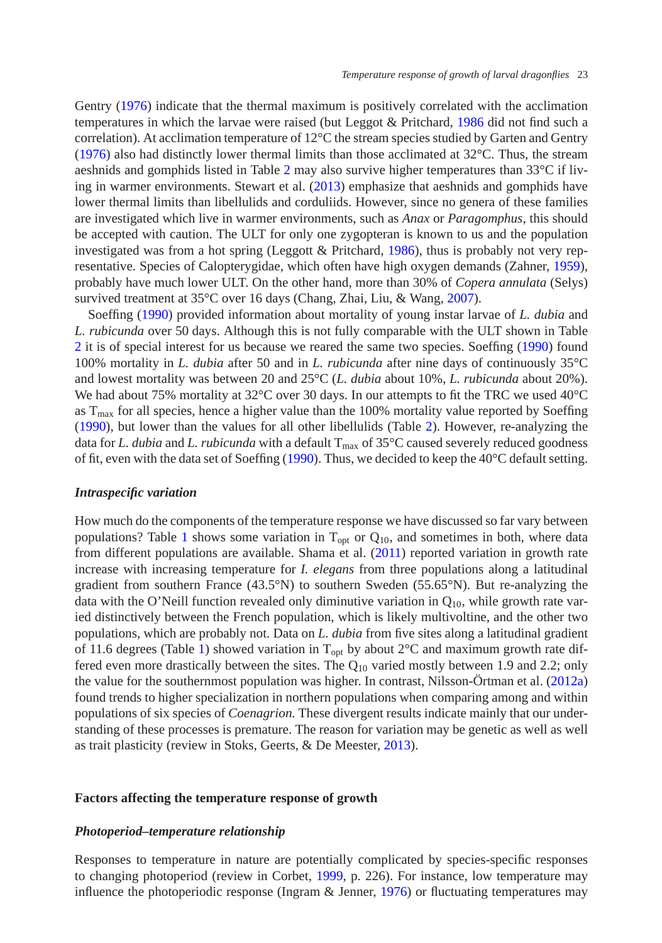Gentry [\(1976\)](#page-13-10) indicate that the thermal maximum is positively correlated with the acclimation temperatures in which the larvae were raised (but Leggot & Pritchard, [1986](#page-13-11) did not find such a correlation). At acclimation temperature of 12°C the stream species studied by Garten and Gentry [\(1976\)](#page-13-10) also had distinctly lower thermal limits than those acclimated at  $32^{\circ}$ C. Thus, the stream aeshnids and gomphids listed in Table [2](#page-7-0) may also survive higher temperatures than 33°C if living in warmer environments. Stewart et al. [\(2013\)](#page-14-17) emphasize that aeshnids and gomphids have lower thermal limits than libellulids and corduliids. However, since no genera of these families are investigated which live in warmer environments, such as *Anax* or *Paragomphus*, this should be accepted with caution. The ULT for only one zygopteran is known to us and the population investigated was from a hot spring (Leggott & Pritchard, [1986\)](#page-13-11), thus is probably not very representative. Species of Calopterygidae, which often have high oxygen demands (Zahner, [1959\)](#page-15-6), probably have much lower ULT. On the other hand, more than 30% of *Copera annulata* (Selys) survived treatment at 35°C over 16 days (Chang, Zhai, Liu, & Wang, [2007\)](#page-12-8).

Soeffing [\(1990\)](#page-14-10) provided information about mortality of young instar larvae of *L. dubia* and *L. rubicunda* over 50 days. Although this is not fully comparable with the ULT shown in Table [2](#page-7-0) it is of special interest for us because we reared the same two species. Soeffing [\(1990\)](#page-14-10) found 100% mortality in *L. dubia* after 50 and in *L. rubicunda* after nine days of continuously 35°C and lowest mortality was between 20 and 25°C (*L. dubia* about 10%, *L. rubicunda* about 20%). We had about 75% mortality at  $32^{\circ}$ C over 30 days. In our attempts to fit the TRC we used  $40^{\circ}$ C as  $T_{\text{max}}$  for all species, hence a higher value than the 100% mortality value reported by Soeffing [\(1990\)](#page-14-10), but lower than the values for all other libellulids (Table [2\)](#page-7-0). However, re-analyzing the data for *L. dubia* and *L. rubicunda* with a default  $T_{\text{max}}$  of 35°C caused severely reduced goodness of fit, even with the data set of Soeffing [\(1990\)](#page-14-10). Thus, we decided to keep the 40°C default setting.

## *Intraspecific variation*

How much do the components of the temperature response we have discussed so far vary between populations? Table [1](#page-5-0) shows some variation in  $T_{\text{opt}}$  or  $Q_{10}$ , and sometimes in both, where data from different populations are available. Shama et al. [\(2011\)](#page-14-11) reported variation in growth rate increase with increasing temperature for *I. elegans* from three populations along a latitudinal gradient from southern France (43.5°N) to southern Sweden (55.65°N). But re-analyzing the data with the O'Neill function revealed only diminutive variation in  $Q_{10}$ , while growth rate varied distinctively between the French population, which is likely multivoltine, and the other two populations, which are probably not. Data on *L. dubia* from five sites along a latitudinal gradient of 11.6 degrees (Table [1\)](#page-5-0) showed variation in  $T_{\text{out}}$  by about  $2^{\circ}C$  and maximum growth rate differed even more drastically between the sites. The  $Q_{10}$  varied mostly between 1.9 and 2.2; only the value for the southernmost population was higher. In contrast, Nilsson-Örtman et al. [\(2012a\)](#page-14-9) found trends to higher specialization in northern populations when comparing among and within populations of six species of *Coenagrion.* These divergent results indicate mainly that our understanding of these processes is premature. The reason for variation may be genetic as well as well as trait plasticity (review in Stoks, Geerts, & De Meester, [2013\)](#page-14-20).

## **Factors affecting the temperature response of growth**

## *Photoperiod–temperature relationship*

Responses to temperature in nature are potentially complicated by species-specific responses to changing photoperiod (review in Corbet, [1999,](#page-12-3) p. 226). For instance, low temperature may influence the photoperiodic response (Ingram  $&$  Jenner, [1976\)](#page-13-13) or fluctuating temperatures may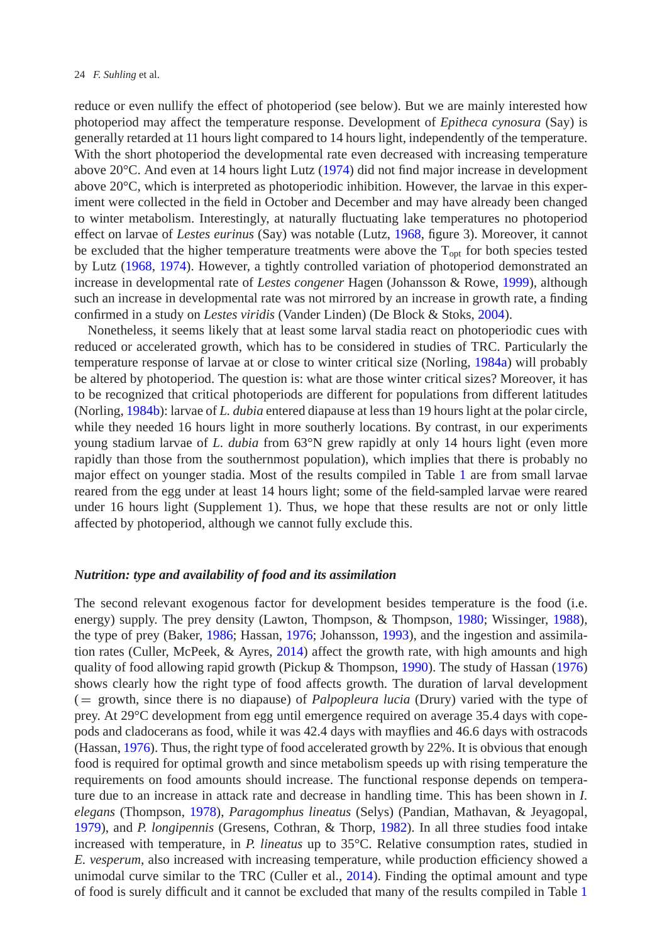reduce or even nullify the effect of photoperiod (see below). But we are mainly interested how photoperiod may affect the temperature response. Development of *Epitheca cynosura* (Say) is generally retarded at 11 hours light compared to 14 hours light, independently of the temperature. With the short photoperiod the developmental rate even decreased with increasing temperature above 20°C. And even at 14 hours light Lutz [\(1974\)](#page-13-14) did not find major increase in development above 20°C, which is interpreted as photoperiodic inhibition. However, the larvae in this experiment were collected in the field in October and December and may have already been changed to winter metabolism. Interestingly, at naturally fluctuating lake temperatures no photoperiod effect on larvae of *Lestes eurinus* (Say) was notable (Lutz, [1968,](#page-13-15) figure 3). Moreover, it cannot be excluded that the higher temperature treatments were above the  $T_{opt}$  for both species tested by Lutz [\(1968,](#page-13-15) [1974\)](#page-13-14). However, a tightly controlled variation of photoperiod demonstrated an increase in developmental rate of *Lestes congener* Hagen (Johansson & Rowe, [1999\)](#page-13-16), although such an increase in developmental rate was not mirrored by an increase in growth rate, a finding confirmed in a study on *Lestes viridis* (Vander Linden) (De Block & Stoks, [2004\)](#page-12-9).

Nonetheless, it seems likely that at least some larval stadia react on photoperiodic cues with reduced or accelerated growth, which has to be considered in studies of TRC. Particularly the temperature response of larvae at or close to winter critical size (Norling, [1984a\)](#page-14-21) will probably be altered by photoperiod. The question is: what are those winter critical sizes? Moreover, it has to be recognized that critical photoperiods are different for populations from different latitudes (Norling, [1984b\)](#page-14-22): larvae of *L. dubia* entered diapause at less than 19 hours light at the polar circle, while they needed 16 hours light in more southerly locations. By contrast, in our experiments young stadium larvae of *L. dubia* from 63°N grew rapidly at only 14 hours light (even more rapidly than those from the southernmost population), which implies that there is probably no major effect on younger stadia. Most of the results compiled in Table [1](#page-5-0) are from small larvae reared from the egg under at least 14 hours light; some of the field-sampled larvae were reared under 16 hours light (Supplement 1). Thus, we hope that these results are not or only little affected by photoperiod, although we cannot fully exclude this.

## *Nutrition: type and availability of food and its assimilation*

The second relevant exogenous factor for development besides temperature is the food (i.e. energy) supply. The prey density (Lawton, Thompson, & Thompson, [1980;](#page-13-17) Wissinger, [1988\)](#page-15-7), the type of prey (Baker, [1986;](#page-12-10) Hassan, [1976;](#page-13-18) Johansson, [1993\)](#page-13-19), and the ingestion and assimilation rates (Culler, McPeek, & Ayres, [2014\)](#page-12-7) affect the growth rate, with high amounts and high quality of food allowing rapid growth (Pickup & Thompson, [1990\)](#page-14-6). The study of Hassan [\(1976\)](#page-13-18) shows clearly how the right type of food affects growth. The duration of larval development (= growth, since there is no diapause) of *Palpopleura lucia* (Drury) varied with the type of prey. At 29°C development from egg until emergence required on average 35.4 days with copepods and cladocerans as food, while it was 42.4 days with mayflies and 46.6 days with ostracods (Hassan, [1976\)](#page-13-18). Thus, the right type of food accelerated growth by 22%. It is obvious that enough food is required for optimal growth and since metabolism speeds up with rising temperature the requirements on food amounts should increase. The functional response depends on temperature due to an increase in attack rate and decrease in handling time. This has been shown in *I. elegans* (Thompson, [1978\)](#page-15-8), *Paragomphus lineatus* (Selys) (Pandian, Mathavan, & Jeyagopal, [1979\)](#page-14-23), and *P. longipennis* (Gresens, Cothran, & Thorp, [1982\)](#page-13-20). In all three studies food intake increased with temperature, in *P. lineatus* up to 35°C. Relative consumption rates, studied in *E. vesperum*, also increased with increasing temperature, while production efficiency showed a unimodal curve similar to the TRC (Culler et al., [2014\)](#page-12-7). Finding the optimal amount and type of food is surely difficult and it cannot be excluded that many of the results compiled in Table [1](#page-5-0)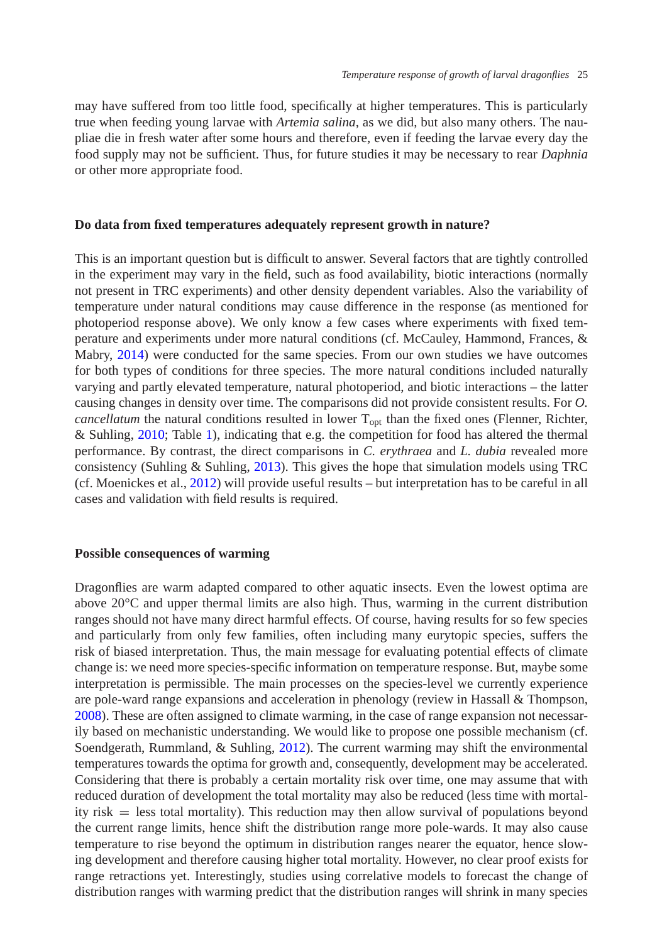may have suffered from too little food, specifically at higher temperatures. This is particularly true when feeding young larvae with *Artemia salina*, as we did, but also many others. The naupliae die in fresh water after some hours and therefore, even if feeding the larvae every day the food supply may not be sufficient. Thus, for future studies it may be necessary to rear *Daphnia* or other more appropriate food.

# **Do data from fixed temperatures adequately represent growth in nature?**

This is an important question but is difficult to answer. Several factors that are tightly controlled in the experiment may vary in the field, such as food availability, biotic interactions (normally not present in TRC experiments) and other density dependent variables. Also the variability of temperature under natural conditions may cause difference in the response (as mentioned for photoperiod response above). We only know a few cases where experiments with fixed temperature and experiments under more natural conditions (cf. McCauley, Hammond, Frances, & Mabry, [2014\)](#page-13-21) were conducted for the same species. From our own studies we have outcomes for both types of conditions for three species. The more natural conditions included naturally varying and partly elevated temperature, natural photoperiod, and biotic interactions – the latter causing changes in density over time. The comparisons did not provide consistent results. For *O. cancellatum* the natural conditions resulted in lower  $T_{\text{opt}}$  than the fixed ones (Flenner, Richter, & Suhling, [2010;](#page-13-22) Table [1\)](#page-5-0), indicating that e.g. the competition for food has altered the thermal performance. By contrast, the direct comparisons in *C. erythraea* and *L. dubia* revealed more consistency (Suhling & Suhling, [2013\)](#page-14-15). This gives the hope that simulation models using TRC (cf. Moenickes et al., [2012\)](#page-14-24) will provide useful results – but interpretation has to be careful in all cases and validation with field results is required.

## **Possible consequences of warming**

Dragonflies are warm adapted compared to other aquatic insects. Even the lowest optima are above  $20^{\circ}$ C and upper thermal limits are also high. Thus, warming in the current distribution ranges should not have many direct harmful effects. Of course, having results for so few species and particularly from only few families, often including many eurytopic species, suffers the risk of biased interpretation. Thus, the main message for evaluating potential effects of climate change is: we need more species-specific information on temperature response. But, maybe some interpretation is permissible. The main processes on the species-level we currently experience are pole-ward range expansions and acceleration in phenology (review in Hassall & Thompson, [2008\)](#page-13-23). These are often assigned to climate warming, in the case of range expansion not necessarily based on mechanistic understanding. We would like to propose one possible mechanism (cf. Soendgerath, Rummland, & Suhling, [2012\)](#page-14-25). The current warming may shift the environmental temperatures towards the optima for growth and, consequently, development may be accelerated. Considering that there is probably a certain mortality risk over time, one may assume that with reduced duration of development the total mortality may also be reduced (less time with mortality risk = less total mortality). This reduction may then allow survival of populations beyond the current range limits, hence shift the distribution range more pole-wards. It may also cause temperature to rise beyond the optimum in distribution ranges nearer the equator, hence slowing development and therefore causing higher total mortality. However, no clear proof exists for range retractions yet. Interestingly, studies using correlative models to forecast the change of distribution ranges with warming predict that the distribution ranges will shrink in many species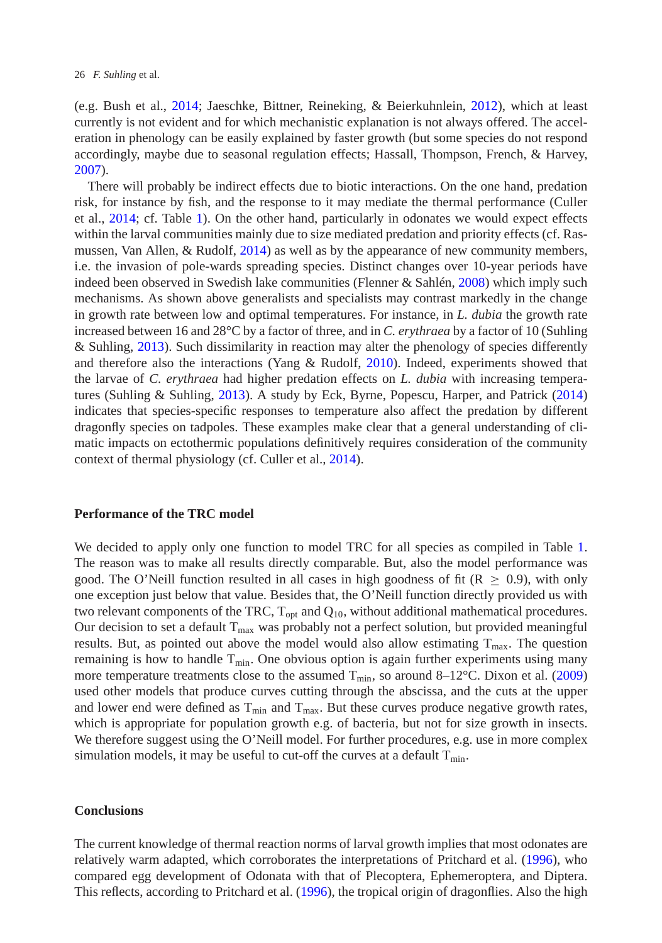(e.g. Bush et al., [2014;](#page-12-11) Jaeschke, Bittner, Reineking, & Beierkuhnlein, [2012\)](#page-13-24), which at least currently is not evident and for which mechanistic explanation is not always offered. The acceleration in phenology can be easily explained by faster growth (but some species do not respond accordingly, maybe due to seasonal regulation effects; Hassall, Thompson, French, & Harvey, [2007\)](#page-13-25).

There will probably be indirect effects due to biotic interactions. On the one hand, predation risk, for instance by fish, and the response to it may mediate the thermal performance (Culler et al., [2014;](#page-12-7) cf. Table [1\)](#page-5-0). On the other hand, particularly in odonates we would expect effects within the larval communities mainly due to size mediated predation and priority effects (cf. Rasmussen, Van Allen, & Rudolf, [2014\)](#page-14-26) as well as by the appearance of new community members, i.e. the invasion of pole-wards spreading species. Distinct changes over 10-year periods have indeed been observed in Swedish lake communities (Flenner & Sahlén, [2008\)](#page-13-26) which imply such mechanisms. As shown above generalists and specialists may contrast markedly in the change in growth rate between low and optimal temperatures. For instance, in *L. dubia* the growth rate increased between 16 and 28°C by a factor of three, and in *C. erythraea* by a factor of 10 (Suhling & Suhling, [2013\)](#page-14-15). Such dissimilarity in reaction may alter the phenology of species differently and therefore also the interactions (Yang & Rudolf, [2010\)](#page-15-9). Indeed, experiments showed that the larvae of *C. erythraea* had higher predation effects on *L. dubia* with increasing temperatures (Suhling & Suhling, [2013\)](#page-14-15). A study by Eck, Byrne, Popescu, Harper, and Patrick [\(2014\)](#page-13-27) indicates that species-specific responses to temperature also affect the predation by different dragonfly species on tadpoles. These examples make clear that a general understanding of climatic impacts on ectothermic populations definitively requires consideration of the community context of thermal physiology (cf. Culler et al., [2014\)](#page-12-7).

## **Performance of the TRC model**

We decided to apply only one function to model TRC for all species as compiled in Table [1.](#page-5-0) The reason was to make all results directly comparable. But, also the model performance was good. The O'Neill function resulted in all cases in high goodness of fit ( $R \geq 0.9$ ), with only one exception just below that value. Besides that, the O'Neill function directly provided us with two relevant components of the TRC,  $T_{opt}$  and  $Q_{10}$ , without additional mathematical procedures. Our decision to set a default  $T_{\text{max}}$  was probably not a perfect solution, but provided meaningful results. But, as pointed out above the model would also allow estimating  $T_{\text{max}}$ . The question remaining is how to handle  $T_{\text{min}}$ . One obvious option is again further experiments using many more temperature treatments close to the assumed  $T_{\text{min}}$ , so around 8–12°C. Dixon et al. [\(2009\)](#page-12-2) used other models that produce curves cutting through the abscissa, and the cuts at the upper and lower end were defined as  $T_{min}$  and  $T_{max}$ . But these curves produce negative growth rates, which is appropriate for population growth e.g. of bacteria, but not for size growth in insects. We therefore suggest using the O'Neill model. For further procedures, e.g. use in more complex simulation models, it may be useful to cut-off the curves at a default  $T_{min}$ .

# **Conclusions**

The current knowledge of thermal reaction norms of larval growth implies that most odonates are relatively warm adapted, which corroborates the interpretations of Pritchard et al. [\(1996\)](#page-14-1), who compared egg development of Odonata with that of Plecoptera, Ephemeroptera, and Diptera. This reflects, according to Pritchard et al. [\(1996\)](#page-14-1), the tropical origin of dragonflies. Also the high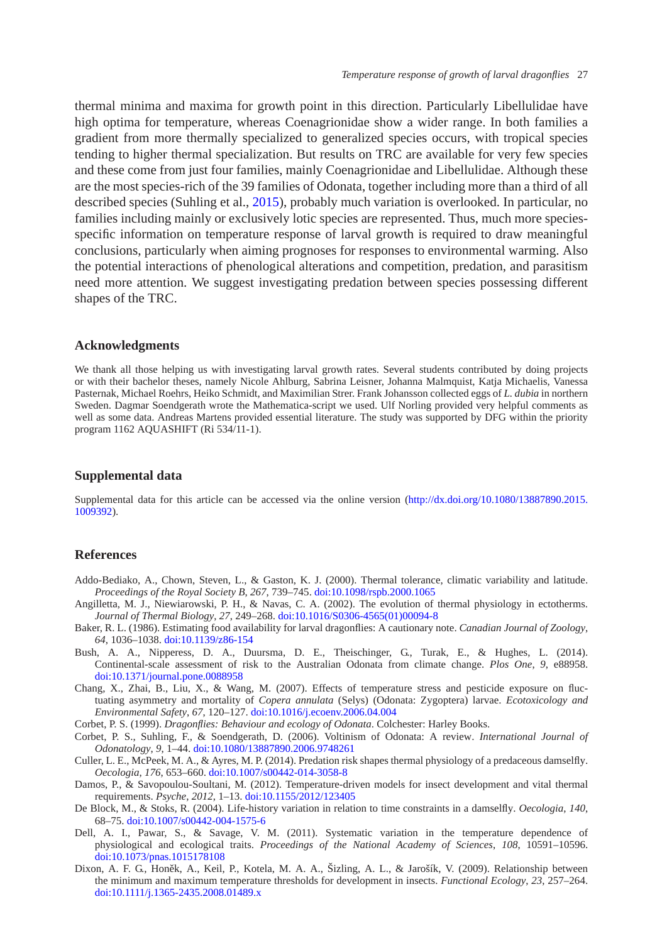thermal minima and maxima for growth point in this direction. Particularly Libellulidae have high optima for temperature, whereas Coenagrionidae show a wider range. In both families a gradient from more thermally specialized to generalized species occurs, with tropical species tending to higher thermal specialization. But results on TRC are available for very few species and these come from just four families, mainly Coenagrionidae and Libellulidae. Although these are the most species-rich of the 39 families of Odonata, together including more than a third of all described species (Suhling et al., [2015\)](#page-15-10), probably much variation is overlooked. In particular, no families including mainly or exclusively lotic species are represented. Thus, much more speciesspecific information on temperature response of larval growth is required to draw meaningful conclusions, particularly when aiming prognoses for responses to environmental warming. Also the potential interactions of phenological alterations and competition, predation, and parasitism need more attention. We suggest investigating predation between species possessing different shapes of the TRC.

#### **Acknowledgments**

We thank all those helping us with investigating larval growth rates. Several students contributed by doing projects or with their bachelor theses, namely Nicole Ahlburg, Sabrina Leisner, Johanna Malmquist, Katja Michaelis, Vanessa Pasternak, Michael Roehrs, Heiko Schmidt, and Maximilian Strer. Frank Johansson collected eggs of *L. dubia* in northern Sweden. Dagmar Soendgerath wrote the Mathematica-script we used. Ulf Norling provided very helpful comments as well as some data. Andreas Martens provided essential literature. The study was supported by DFG within the priority program 1162 AQUASHIFT (Ri 534/11-1).

## **Supplemental data**

Supplemental data for this article can be accessed via the online version [\(http://dx.doi.org/10.1080/13887890.2015.](http://dx.doi.org/10.1080/13887890.2015.1009392) [1009392\)](http://dx.doi.org/10.1080/13887890.2015.1009392).

# **References**

- <span id="page-12-6"></span>Addo-Bediako, A., Chown, Steven, L., & Gaston, K. J. (2000). Thermal tolerance, climatic variability and latitude. *Proceedings of the Royal Society B*, *267*, 739–745. [doi:10.1098/rspb.2000.1065](http://dx.doi.org/10.1098/rspb.2000.1065)
- <span id="page-12-0"></span>Angilletta, M. J., Niewiarowski, P. H., & Navas, C. A. (2002). The evolution of thermal physiology in ectotherms. *Journal of Thermal Biology*, *27*, 249–268. [doi:10.1016/S0306-4565\(01\)00094-8](http://dx.doi.org/10.1016/S0306-4565(01)00094-8)
- <span id="page-12-10"></span>Baker, R. L. (1986). Estimating food availability for larval dragonflies: A cautionary note. *Canadian Journal of Zoology*, *64*, 1036–1038. [doi:10.1139/z86-154](http://dx.doi.org/10.1139/z86-154)
- <span id="page-12-11"></span>Bush, A. A., Nipperess, D. A., Duursma, D. E., Theischinger, G., Turak, E., & Hughes, L. (2014). Continental-scale assessment of risk to the Australian Odonata from climate change. *Plos One*, *9*, e88958. [doi:10.1371/journal.pone.0088958](http://dx.doi.org/10.1371/journal.pone.0088958)
- <span id="page-12-8"></span>Chang, X., Zhai, B., Liu, X., & Wang, M. (2007). Effects of temperature stress and pesticide exposure on fluctuating asymmetry and mortality of *Copera annulata* (Selys) (Odonata: Zygoptera) larvae. *Ecotoxicology and Environmental Safety*, *67*, 120–127. [doi:10.1016/j.ecoenv.2006.04.004](http://dx.doi.org/10.1016/j.ecoenv.2006.04.004)
- Corbet, P. S. (1999). *Dragonflies: Behaviour and ecology of Odonata*. Colchester: Harley Books.
- <span id="page-12-4"></span><span id="page-12-3"></span>Corbet, P. S., Suhling, F., & Soendgerath, D. (2006). Voltinism of Odonata: A review. *International Journal of Odonatology*, *9*, 1–44. [doi:10.1080/13887890.2006.9748261](http://dx.doi.org/10.1080/13887890.2006.9748261)
- <span id="page-12-7"></span>Culler, L. E., McPeek, M. A., & Ayres, M. P. (2014). Predation risk shapes thermal physiology of a predaceous damselfly. *Oecologia*, *176*, 653–660. [doi:10.1007/s00442-014-3058-8](http://dx.doi.org/10.1007/s00442-014-3058-8)
- <span id="page-12-5"></span>Damos, P., & Savopoulou-Soultani, M. (2012). Temperature-driven models for insect development and vital thermal requirements. *Psyche*, *2012*, 1–13. [doi:10.1155/2012/123405](http://dx.doi.org/10.1155/2012/123405)
- De Block, M., & Stoks, R. (2004). Life-history variation in relation to time constraints in a damselfly. *Oecologia*, *140*, 68–75. [doi:10.1007/s00442-004-1575-6](http://dx.doi.org/10.1007/s00442-004-1575-6)
- <span id="page-12-9"></span><span id="page-12-1"></span>Dell, A. I., Pawar, S., & Savage, V. M. (2011). Systematic variation in the temperature dependence of physiological and ecological traits. *Proceedings of the National Academy of Sciences*, *108*, 10591–10596. [doi:10.1073/pnas.1015178108](http://dx.doi.org/10.1073/pnas.1015178108)
- <span id="page-12-2"></span>Dixon, A. F. G., Honěk, A., Keil, P., Kotela, M. A. A., Šizling, A. L., & Jarošík, V. (2009). Relationship between the minimum and maximum temperature thresholds for development in insects. *Functional Ecology*, *23*, 257–264. [doi:10.1111/j.1365-2435.2008.01489.x](http://dx.doi.org/10.1111/j.1365-2435.2008.01489.x)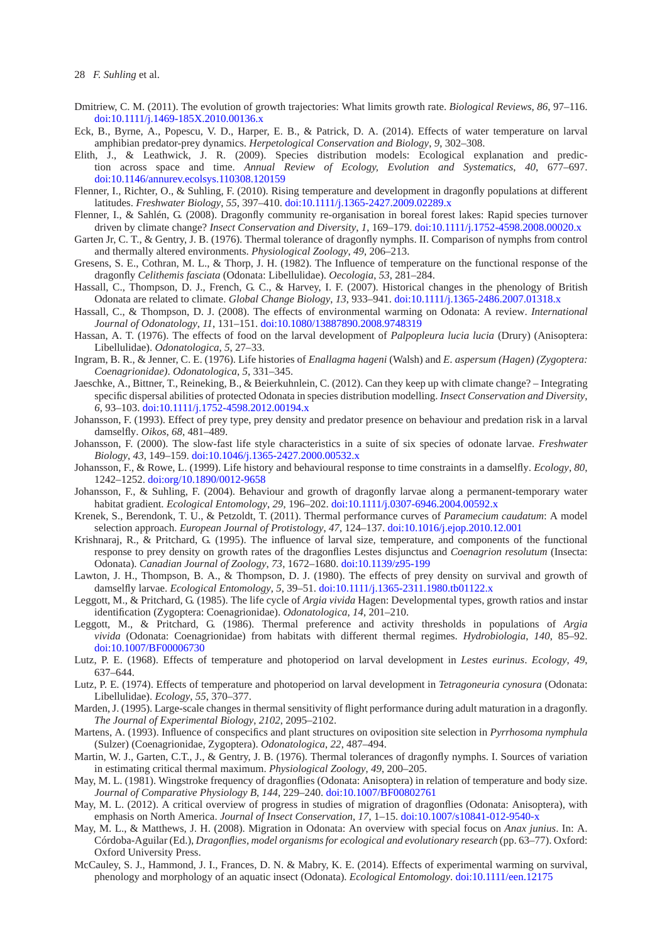- <span id="page-13-2"></span>Dmitriew, C. M. (2011). The evolution of growth trajectories: What limits growth rate. *Biological Reviews*, *86*, 97–116. [doi:10.1111/j.1469-185X.2010.00136.x](http://dx.doi.org/10.1111/j.1469-185X.2010.00136.x)
- <span id="page-13-27"></span>Eck, B., Byrne, A., Popescu, V. D., Harper, E. B., & Patrick, D. A. (2014). Effects of water temperature on larval amphibian predator-prey dynamics. *Herpetological Conservation and Biology*, *9*, 302–308.
- <span id="page-13-0"></span>Elith, J., & Leathwick, J. R. (2009). Species distribution models: Ecological explanation and prediction across space and time. *Annual Review of Ecology, Evolution and Systematics*, *40*, 677–697. [doi:10.1146/annurev.ecolsys.110308.120159](http://dx.doi.org/10.1146/annurev.ecolsys.110308.120159)
- <span id="page-13-22"></span>Flenner, I., Richter, O., & Suhling, F. (2010). Rising temperature and development in dragonfly populations at different latitudes. *Freshwater Biology*, *55*, 397–410. [doi:10.1111/j.1365-2427.2009.02289.x](http://dx.doi.org/10.1111/j.1365-2427.2009.02289.x)
- <span id="page-13-26"></span>Flenner, I., & Sahlén, G. (2008). Dragonfly community re-organisation in boreal forest lakes: Rapid species turnover driven by climate change? *Insect Conservation and Diversity*, *1*, 169–179. [doi:10.1111/j.1752-4598.2008.00020.x](http://dx.doi.org/10.1111/j.1752-4598.2008.00020.x)
- <span id="page-13-10"></span>Garten Jr, C. T., & Gentry, J. B. (1976). Thermal tolerance of dragonfly nymphs. II. Comparison of nymphs from control and thermally altered environments. *Physiological Zoology*, *49*, 206–213.
- <span id="page-13-20"></span>Gresens, S. E., Cothran, M. L., & Thorp, J. H. (1982). The Influence of temperature on the functional response of the dragonfly *Celithemis fasciata* (Odonata: Libellulidae). *Oecologia*, *53*, 281–284.
- <span id="page-13-25"></span>Hassall, C., Thompson, D. J., French, G. C., & Harvey, I. F. (2007). Historical changes in the phenology of British Odonata are related to climate. *Global Change Biology*, *13*, 933–941. [doi:10.1111/j.1365-2486.2007.01318.x](http://dx.doi.org/10.1111/j.1365-2486.2007.01318.x)
- <span id="page-13-23"></span>Hassall, C., & Thompson, D. J. (2008). The effects of environmental warming on Odonata: A review. *International Journal of Odonatology*, *11*, 131–151. [doi:10.1080/13887890.2008.9748319](http://dx.doi.org/10.1080/13887890.2008.9748319)
- <span id="page-13-18"></span>Hassan, A. T. (1976). The effects of food on the larval development of *Palpopleura lucia lucia* (Drury) (Anisoptera: Libellulidae). *Odonatologica*, *5*, 27–33.
- <span id="page-13-13"></span>Ingram, B. R., & Jenner, C. E. (1976). Life histories of *Enallagma hageni* (Walsh) and *E. aspersum (Hagen) (Zygoptera: Coenagrionidae)*. *Odonatologica*, *5*, 331–345.
- <span id="page-13-24"></span>Jaeschke, A., Bittner, T., Reineking, B., & Beierkuhnlein, C. (2012). Can they keep up with climate change? – Integrating specific dispersal abilities of protected Odonata in species distribution modelling. *Insect Conservation and Diversity*, *6*, 93–103. [doi:10.1111/j.1752-4598.2012.00194.x](http://dx.doi.org/10.1111/j.1752-4598.2012.00194.x)
- <span id="page-13-19"></span>Johansson, F. (1993). Effect of prey type, prey density and predator presence on behaviour and predation risk in a larval damselfly. *Oikos*, *68*, 481–489.
- <span id="page-13-9"></span>Johansson, F. (2000). The slow-fast life style characteristics in a suite of six species of odonate larvae. *Freshwater Biology*, *43*, 149–159. [doi:10.1046/j.1365-2427.2000.00532.x](http://dx.doi.org/10.1046/j.1365-2427.2000.00532.x)

<span id="page-13-16"></span>Johansson, F., & Rowe, L. (1999). Life history and behavioural response to time constraints in a damselfly. *Ecology*, *80*, 1242–1252. [doi:org/10.1890/0012-9658](http://dx.doi.org/org/10.1890/0012-9658)

- <span id="page-13-8"></span>Johansson, F., & Suhling, F. (2004). Behaviour and growth of dragonfly larvae along a permanent-temporary water habitat gradient. *Ecological Entomology*, *29*, 196–202. [doi:10.1111/j.0307-6946.2004.00592.x](http://dx.doi.org/10.1111/j.0307-6946.2004.00592.x)
- <span id="page-13-6"></span>Krenek, S., Berendonk, T. U., & Petzoldt, T. (2011). Thermal performance curves of *Paramecium caudatum*: A model selection approach. *European Journal of Protistology*, *47*, 124–137. [doi:10.1016/j.ejop.2010.12.001](http://dx.doi.org/10.1016/j.ejop.2010.12.001)
- <span id="page-13-1"></span>Krishnaraj, R., & Pritchard, G. (1995). The influence of larval size, temperature, and components of the functional response to prey density on growth rates of the dragonflies Lestes disjunctus and *Coenagrion resolutum* (Insecta: Odonata). *Canadian Journal of Zoology*, *73*, 1672–1680. [doi:10.1139/z95-199](http://dx.doi.org/10.1139/z95-199)
- <span id="page-13-17"></span>Lawton, J. H., Thompson, B. A., & Thompson, D. J. (1980). The effects of prey density on survival and growth of damselfly larvae. *Ecological Entomology*, *5*, 39–51. [doi:10.1111/j.1365-2311.1980.tb01122.x](http://dx.doi.org/10.1111/j.1365-2311.1980.tb01122.x)
- <span id="page-13-5"></span>Leggott, M., & Pritchard, G. (1985). The life cycle of *Argia vivida* Hagen: Developmental types, growth ratios and instar identification (Zygoptera: Coenagrionidae). *Odonatologica*, *14*, 201–210.
- <span id="page-13-11"></span>Leggott, M., & Pritchard, G. (1986). Thermal preference and activity thresholds in populations of *Argia vivida* (Odonata: Coenagrionidae) from habitats with different thermal regimes. *Hydrobiologia*, *140*, 85–92. [doi:10.1007/BF00006730](http://dx.doi.org/10.1007/BF00006730)
- <span id="page-13-15"></span>Lutz, P. E. (1968). Effects of temperature and photoperiod on larval development in *Lestes eurinus*. *Ecology*, *49*, 637–644.
- <span id="page-13-14"></span>Lutz, P. E. (1974). Effects of temperature and photoperiod on larval development in *Tetragoneuria cynosura* (Odonata: Libellulidae). *Ecology*, *55*, 370–377.
- <span id="page-13-3"></span>Marden, J. (1995). Large-scale changes in thermal sensitivity of flight performance during adult maturation in a dragonfly. *The Journal of Experimental Biology*, *2102*, 2095–2102.
- <span id="page-13-4"></span>Martens, A. (1993). Influence of conspecifics and plant structures on oviposition site selection in *Pyrrhosoma nymphula* (Sulzer) (Coenagrionidae, Zygoptera). *Odonatologica*, *22*, 487–494.
- <span id="page-13-12"></span>Martin, W. J., Garten, C.T., J., & Gentry, J. B. (1976). Thermal tolerances of dragonfly nymphs. I. Sources of variation in estimating critical thermal maximum. *Physiological Zoology*, *49*, 200–205.
- May, M. L. (1981). Wingstroke frequency of dragonflies (Odonata: Anisoptera) in relation of temperature and body size. *Journal of Comparative Physiology B*, *144*, 229–240. [doi:10.1007/BF00802761](http://dx.doi.org/10.1007/BF00802761)
- <span id="page-13-7"></span>May, M. L. (2012). A critical overview of progress in studies of migration of dragonflies (Odonata: Anisoptera), with emphasis on North America. *Journal of Insect Conservation*, *17*, 1–15. [doi:10.1007/s10841-012-9540-x](http://dx.doi.org/10.1007/s10841-012-9540-x)
- May, M. L., & Matthews, J. H. (2008). Migration in Odonata: An overview with special focus on *Anax junius*. In: A. Córdoba-Aguilar (Ed.), *Dragonflies, model organisms for ecological and evolutionary research* (pp. 63–77). Oxford: Oxford University Press.
- <span id="page-13-21"></span>McCauley, S. J., Hammond, J. I., Frances, D. N. & Mabry, K. E. (2014). Effects of experimental warming on survival, phenology and morphology of an aquatic insect (Odonata). *Ecological Entomology*. [doi:10.1111/een.12175](http://dx.doi.org/10.1111/een.12175)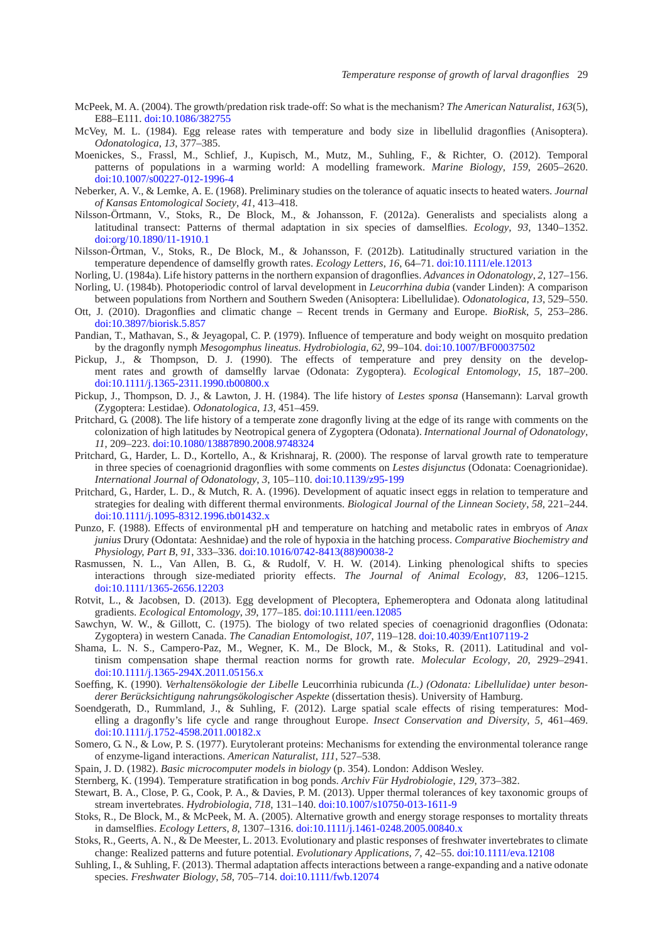- <span id="page-14-13"></span>McPeek, M. A. (2004). The growth/predation risk trade-off: So what is the mechanism? *The American Naturalist*, *163*(5), E88–E111. [doi:10.1086/382755](http://dx.doi.org/10.1086/382755)
- <span id="page-14-0"></span>McVey, M. L. (1984). Egg release rates with temperature and body size in libellulid dragonflies (Anisoptera). *Odonatologica*, *13*, 377–385.
- <span id="page-14-24"></span>Moenickes, S., Frassl, M., Schlief, J., Kupisch, M., Mutz, M., Suhling, F., & Richter, O. (2012). Temporal patterns of populations in a warming world: A modelling framework. *Marine Biology*, *159*, 2605–2620. [doi:10.1007/s00227-012-1996-4](http://dx.doi.org/10.1007/s00227-012-1996-4)
- <span id="page-14-18"></span>Neberker, A. V., & Lemke, A. E. (1968). Preliminary studies on the tolerance of aquatic insects to heated waters. *Journal of Kansas Entomological Society*, *41*, 413–418.
- <span id="page-14-8"></span>Nilsson-Örtmann, V., Stoks, R., De Block, M., & Johansson, F. (2012a). Generalists and specialists along a latitudinal transect: Patterns of thermal adaptation in six species of damselflies. *Ecology*, *93*, 1340–1352. [doi:org/10.1890/11-1910.1](http://dx.doi.org/org/10.1890/11-1910.1)
- <span id="page-14-9"></span>Nilsson-Örtman, V., Stoks, R., De Block, M., & Johansson, F. (2012b). Latitudinally structured variation in the temperature dependence of damselfly growth rates. *Ecology Letters*, *16*, 64–71. [doi:10.1111/ele.12013](http://dx.doi.org/10.1111/ele.12013)
- Norling, U. (1984a). Life history patterns in the northern expansion of dragonflies. *Advances in Odonatology*, *2*, 127–156.
- <span id="page-14-22"></span><span id="page-14-21"></span>Norling, U. (1984b). Photoperiodic control of larval development in *Leucorrhina dubia* (vander Linden): A comparison between populations from Northern and Southern Sweden (Anisoptera: Libellulidae). *Odonatologica*, *13*, 529–550.
- <span id="page-14-12"></span>Ott, J. (2010). Dragonflies and climatic change – Recent trends in Germany and Europe. *BioRisk*, *5*, 253–286. [doi:10.3897/biorisk.5.857](http://dx.doi.org/10.3897/biorisk.5.857)
- <span id="page-14-23"></span>Pandian, T., Mathavan, S., & Jeyagopal, C. P. (1979). Influence of temperature and body weight on mosquito predation by the dragonfly nymph *Mesogomphus lineatus*. *Hydrobiologia*, *62*, 99–104. [doi:10.1007/BF00037502](http://dx.doi.org/10.1007/BF00037502)
- <span id="page-14-6"></span>Pickup, J., & Thompson, D. J. (1990). The effects of temperature and prey density on the development rates and growth of damselfly larvae (Odonata: Zygoptera). *Ecological Entomology*, *15*, 187–200. [doi:10.1111/j.1365-2311.1990.tb00800.x](http://dx.doi.org/10.1111/j.1365-2311.1990.tb00800.x)
- <span id="page-14-7"></span>Pickup, J., Thompson, D. J., & Lawton, J. H. (1984). The life history of *Lestes sponsa* (Hansemann): Larval growth (Zygoptera: Lestidae). *Odonatologica*, *13*, 451–459.
- <span id="page-14-16"></span>Pritchard, G. (2008). The life history of a temperate zone dragonfly living at the edge of its range with comments on the colonization of high latitudes by Neotropical genera of Zygoptera (Odonata). *International Journal of Odonatology*, *11*, 209–223. [doi:10.1080/13887890.2008.9748324](http://dx.doi.org/10.1080/13887890.2008.9748324)
- <span id="page-14-3"></span>Pritchard, G., Harder, L. D., Kortello, A., & Krishnaraj, R. (2000). The response of larval growth rate to temperature in three species of coenagrionid dragonflies with some comments on *Lestes disjunctus* (Odonata: Coenagrionidae). *International Journal of Odonatology*, *3*, 105–110. [doi:10.1139/z95-199](http://dx.doi.org/10.1139/z95-199)
- <span id="page-14-1"></span>Pritchard, G., Harder, L. D., & Mutch, R. A. (1996). Development of aquatic insect eggs in relation to temperature and strategies for dealing with different thermal environments. *Biological Journal of the Linnean Society*, *58*, 221–244. [doi:10.1111/j.1095-8312.1996.tb01432.x](http://dx.doi.org/10.1111/j.1095-8312.1996.tb01432.x)
- <span id="page-14-19"></span>Punzo, F. (1988). Effects of environmental pH and temperature on hatching and metabolic rates in embryos of *Anax junius* Drury (Odontata: Aeshnidae) and the role of hypoxia in the hatching process. *Comparative Biochemistry and Physiology, Part B*, *91*, 333–336. [doi:10.1016/0742-8413\(88\)90038-2](http://dx.doi.org/10.1016/0742-8413(88)90038-2)
- <span id="page-14-26"></span>Rasmussen, N. L., Van Allen, B. G., & Rudolf, V. H. W. (2014). Linking phenological shifts to species interactions through size-mediated priority effects. *The Journal of Animal Ecology*, *83*, 1206–1215. [doi:10.1111/1365-2656.12203](http://dx.doi.org/10.1111/1365-2656.12203)
- <span id="page-14-2"></span>Rotvit, L., & Jacobsen, D. (2013). Egg development of Plecoptera, Ephemeroptera and Odonata along latitudinal gradients. *Ecological Entomology*, *39*, 177–185. [doi:10.1111/een.12085](http://dx.doi.org/10.1111/een.12085)
- Sawchyn, W. W., & Gillott, C. (1975). The biology of two related species of coenagrionid dragonflies (Odonata: Zygoptera) in western Canada. *The Canadian Entomologist*, *107*, 119–128. [doi:10.4039/Ent107119-2](http://dx.doi.org/10.4039/Ent107119-2)
- <span id="page-14-11"></span>Shama, L. N. S., Campero-Paz, M., Wegner, K. M., De Block, M., & Stoks, R. (2011). Latitudinal and voltinism compensation shape thermal reaction norms for growth rate. *Molecular Ecology*, *20*, 2929–2941. [doi:10.1111/j.1365-294X.2011.05156.x](http://dx.doi.org/10.1111/j.1365-294X.2011.05156.x)
- <span id="page-14-10"></span>Soeffing, K. (1990). *Verhaltensökologie der Libelle* Leucorrhinia rubicunda *(L.) (Odonata: Libellulidae) unter besonderer Berücksichtigung nahrungsökologischer Aspekte* (dissertation thesis). University of Hamburg.
- <span id="page-14-25"></span>Soendgerath, D., Rummland, J., & Suhling, F. (2012). Large spatial scale effects of rising temperatures: Modelling a dragonfly's life cycle and range throughout Europe. *Insect Conservation and Diversity*, *5*, 461–469. [doi:10.1111/j.1752-4598.2011.00182.x](http://dx.doi.org/10.1111/j.1752-4598.2011.00182.x)
- Somero, G. N., & Low, P. S. (1977). Eurytolerant proteins: Mechanisms for extending the environmental tolerance range of enzyme-ligand interactions. *American Naturalist*, *111*, 527–538.
- Spain, J. D. (1982). *Basic microcomputer models in biology* (p. 354). London: Addison Wesley.
- <span id="page-14-4"></span>Sternberg, K. (1994). Temperature stratification in bog ponds. *Archiv Für Hydrobiologie*, *129*, 373–382.
- <span id="page-14-17"></span><span id="page-14-5"></span>Stewart, B. A., Close, P. G., Cook, P. A., & Davies, P. M. (2013). Upper thermal tolerances of key taxonomic groups of stream invertebrates. *Hydrobiologia*, *718*, 131–140. [doi:10.1007/s10750-013-1611-9](http://dx.doi.org/10.1007/s10750-013-1611-9)
- <span id="page-14-14"></span>Stoks, R., De Block, M., & McPeek, M. A. (2005). Alternative growth and energy storage responses to mortality threats in damselflies. *Ecology Letters*, *8*, 1307–1316. [doi:10.1111/j.1461-0248.2005.00840.x](http://dx.doi.org/10.1111/j.1461-0248.2005.00840.x)
- <span id="page-14-20"></span>Stoks, R., Geerts, A. N., & De Meester, L. 2013. Evolutionary and plastic responses of freshwater invertebrates to climate change: Realized patterns and future potential. *Evolutionary Applications*, *7*, 42–55. [doi:10.1111/eva.12108](http://dx.doi.org/10.1111/eva.12108)
- <span id="page-14-15"></span>Suhling, I., & Suhling, F. (2013). Thermal adaptation affects interactions between a range-expanding and a native odonate species. *Freshwater Biology*, *58*, 705–714. [doi:10.1111/fwb.12074](http://dx.doi.org/10.1111/fwb.12074)